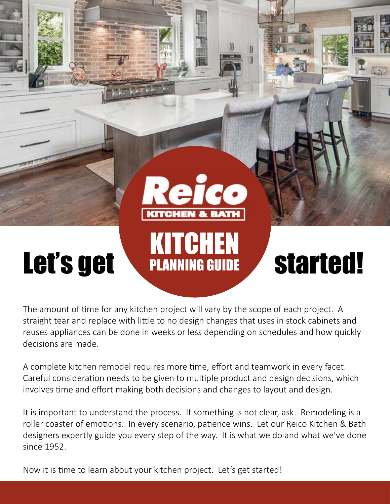

The amount of time for any kitchen project will vary by the scope of each project. A straight tear and replace with little to no design changes that uses in stock cabinets and reuses appliances can be done in weeks or less depending on schedules and how quickly decisions are made.

A complete kitchen remodel requires more time, effort and teamwork in every facet. Careful consideration needs to be given to multiple product and design decisions, which involves time and effort making both decisions and changes to layout and design.

It is important to understand the process. If something is not clear, ask. Remodeling is a roller coaster of emotions. In every scenario, patience wins. Let our Reico Kitchen & Bath designers expertly guide you every step of the way. It is what we do and what we've done since 1952.

Now it is time to learn about your kitchen project. Let's get started!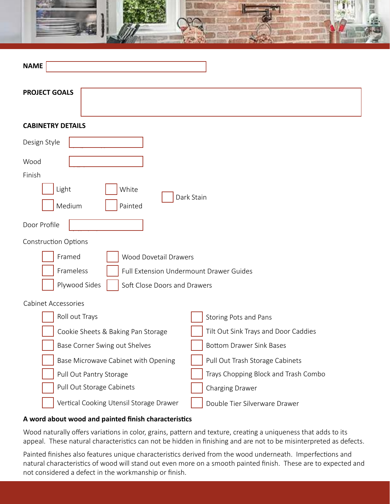

| <b>NAME</b>                                          |                                      |  |
|------------------------------------------------------|--------------------------------------|--|
| <b>PROJECT GOALS</b>                                 |                                      |  |
| <b>CABINETRY DETAILS</b>                             |                                      |  |
| Design Style                                         |                                      |  |
| Wood                                                 |                                      |  |
| Finish                                               |                                      |  |
| Light<br>White<br>Dark Stain<br>Medium<br>Painted    |                                      |  |
| Door Profile                                         |                                      |  |
| <b>Construction Options</b>                          |                                      |  |
| Framed<br>Wood Dovetail Drawers                      |                                      |  |
| Frameless<br>Full Extension Undermount Drawer Guides |                                      |  |
| Plywood Sides<br>Soft Close Doors and Drawers        |                                      |  |
| <b>Cabinet Accessories</b>                           |                                      |  |
| Roll out Trays                                       | Storing Pots and Pans                |  |
| Cookie Sheets & Baking Pan Storage                   | Tilt Out Sink Trays and Door Caddies |  |
| Base Corner Swing out Shelves                        | <b>Bottom Drawer Sink Bases</b>      |  |
| Base Microwave Cabinet with Opening                  | Pull Out Trash Storage Cabinets      |  |
| Pull Out Pantry Storage                              | Trays Chopping Block and Trash Combo |  |
| Pull Out Storage Cabinets                            | Charging Drawer                      |  |
| Vertical Cooking Utensil Storage Drawer              | Double Tier Silverware Drawer        |  |

# **A word about wood and painted finish characteristics**

Wood naturally offers variations in color, grains, pattern and texture, creating a uniqueness that adds to its appeal. These natural characteristics can not be hidden in finishing and are not to be misinterpreted as defects.

Painted finishes also features unique characteristics derived from the wood underneath. Imperfections and natural characteristics of wood will stand out even more on a smooth painted finish. These are to expected and not considered a defect in the workmanship or finish.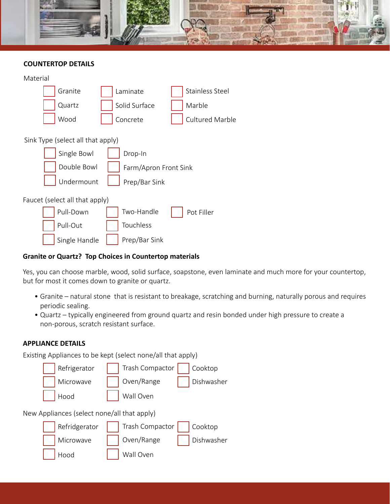

## **COUNTERTOP DETAILS**

| Material                          |                       |                        |
|-----------------------------------|-----------------------|------------------------|
| Granite                           | Laminate              | <b>Stainless Steel</b> |
| Quartz                            | Solid Surface         | Marble                 |
| Wood                              | Concrete              | <b>Cultured Marble</b> |
| Sink Type (select all that apply) |                       |                        |
| Single Bowl                       | Drop-In               |                        |
| Double Bowl                       | Farm/Apron Front Sink |                        |
| Undermount                        | Prep/Bar Sink         |                        |
| Faucet (select all that apply)    |                       |                        |
| Pull-Down                         | Two-Handle            | Pot Filler             |
| Pull-Out                          | Touchless             |                        |
| Single Handle                     | Prep/Bar Sink         |                        |

# **Granite or Quartz? Top Choices in Countertop materials**

Yes, you can choose marble, wood, solid surface, soapstone, even laminate and much more for your countertop, but for most it comes down to granite or quartz.

- Granite natural stone that is resistant to breakage, scratching and burning, naturally porous and requires periodic sealing.
- Quartz typically engineered from ground quartz and resin bonded under high pressure to create a non-porous, scratch resistant surface.

### **APPLIANCE DETAILS**

Existing Appliances to be kept (select none/all that apply)

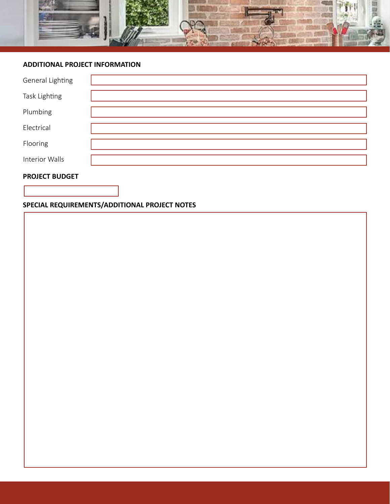

#### **ADDITIONAL PROJECT INFORMATION**

| General Lighting |  |
|------------------|--|
| Task Lighting    |  |
| Plumbing         |  |
| Electrical       |  |
| Flooring         |  |
| Interior Walls   |  |

#### **PROJECT BUDGET**

# **SPECIAL REQUIREMENTS/ADDITIONAL PROJECT NOTES**